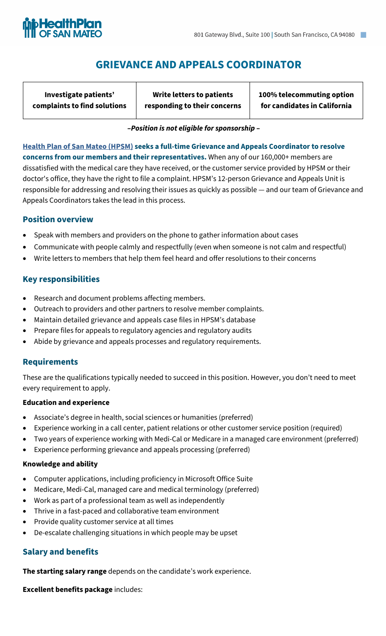

# **GRIEVANCE AND APPEALS COORDINATOR**

**Investigate patients' complaints to find solutions**

**Write letters to patients responding to their concerns**  **100% telecommuting option for candidates in California**

#### **–***Position is not eligible for sponsorship* **–**

**[Health Plan of San Mateo \(HPSM\)](https://www.hpsm.org/) seeks a full-time Grievance and Appeals Coordinator to resolve concerns from our members and their representatives.** When any of our 160,000+ members are dissatisfied with the medical care they have received, or the customer service provided by HPSM or their doctor's office, they have the right to file a complaint. HPSM's 12-person Grievance and Appeals Unit is responsible for addressing and resolving their issues as quickly as possible — and our team of Grievance and Appeals Coordinators takes the lead in this process.

### **Position overview**

- Speak with members and providers on the phone to gather information about cases
- Communicate with people calmly and respectfully (even when someone is not calm and respectful)
- Write letters to members that help them feel heard and offer resolutions to their concerns

#### **Key responsibilities**

- Research and document problems affecting members.
- Outreach to providers and other partners to resolve member complaints.
- Maintain detailed grievance and appeals case files in HPSM's database
- Prepare files for appeals to regulatory agencies and regulatory audits
- Abide by grievance and appeals processes and regulatory requirements.

#### **Requirements**

These are the qualifications typically needed to succeed in this position. However, you don't need to meet every requirement to apply.

#### **Education and experience**

- Associate's degree in health, social sciences or humanities (preferred)
- Experience working in a call center, patient relations or other customer service position (required)
- Two years of experience working with Medi-Cal or Medicare in a managed care environment (preferred)
- Experience performing grievance and appeals processing (preferred)

#### **Knowledge and ability**

- Computer applications, including proficiency in Microsoft Office Suite
- Medicare, Medi-Cal, managed care and medical terminology (preferred)
- Work as part of a professional team as well as independently
- Thrive in a fast-paced and collaborative team environment
- Provide quality customer service at all times
- De-escalate challenging situations in which people may be upset

## **Salary and benefits**

**The starting salary range** depends on the candidate's work experience.

**Excellent benefits package** includes: